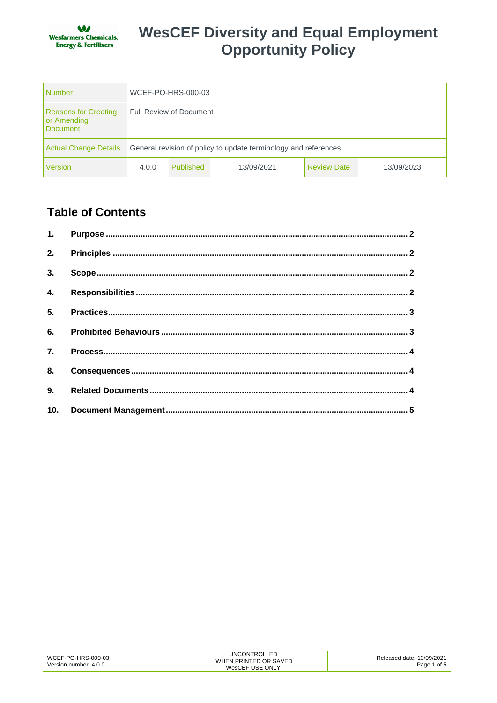

| Number                                                 | WCEF-PO-HRS-000-03                                               |           |            |                    |            |
|--------------------------------------------------------|------------------------------------------------------------------|-----------|------------|--------------------|------------|
| <b>Reasons for Creating</b><br>or Amending<br>Document | <b>Full Review of Document</b>                                   |           |            |                    |            |
| Actual Change Details                                  | General revision of policy to update terminology and references. |           |            |                    |            |
| Version                                                | 4.0.0                                                            | Published | 13/09/2021 | <b>Review Date</b> | 13/09/2023 |

### **Table of Contents**

| 4.  |  |
|-----|--|
|     |  |
|     |  |
| 7.  |  |
| 8.  |  |
|     |  |
| 10. |  |

| WCEF-PO-HRS-000-03<br>Version number: 4.0.0 | UNCONTROLLED<br>WHEN PRINTED OR SAVED<br>WesCEF USE ONLY | Released date: 13/09/2021<br>Page 1 of 5 |
|---------------------------------------------|----------------------------------------------------------|------------------------------------------|
|---------------------------------------------|----------------------------------------------------------|------------------------------------------|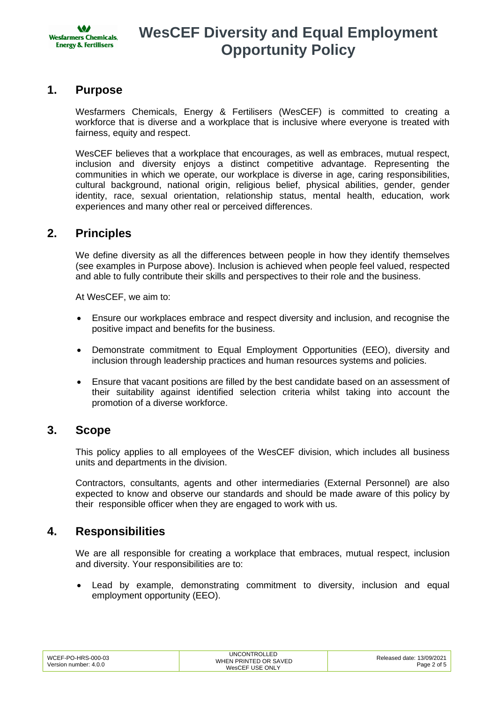

### **1. Purpose**

Wesfarmers Chemicals, Energy & Fertilisers (WesCEF) is committed to creating a workforce that is diverse and a workplace that is inclusive where everyone is treated with fairness, equity and respect.

WesCEF believes that a workplace that encourages, as well as embraces, mutual respect, inclusion and diversity enjoys a distinct competitive advantage. Representing the communities in which we operate, our workplace is diverse in age, caring responsibilities, cultural background, national origin, religious belief, physical abilities, gender, gender identity, race, sexual orientation, relationship status, mental health, education, work experiences and many other real or perceived differences.

### **2. Principles**

We define diversity as all the differences between people in how they identify themselves (see examples in Purpose above). Inclusion is achieved when people feel valued, respected and able to fully contribute their skills and perspectives to their role and the business.

At WesCEF, we aim to:

- Ensure our workplaces embrace and respect diversity and inclusion, and recognise the positive impact and benefits for the business.
- Demonstrate commitment to Equal Employment Opportunities (EEO), diversity and inclusion through leadership practices and human resources systems and policies.
- Ensure that vacant positions are filled by the best candidate based on an assessment of their suitability against identified selection criteria whilst taking into account the promotion of a diverse workforce.

### **3. Scope**

This policy applies to all employees of the WesCEF division, which includes all business units and departments in the division.

Contractors, consultants, agents and other intermediaries (External Personnel) are also expected to know and observe our standards and should be made aware of this policy by their responsible officer when they are engaged to work with us.

### **4. Responsibilities**

We are all responsible for creating a workplace that embraces, mutual respect, inclusion and diversity. Your responsibilities are to:

Lead by example, demonstrating commitment to diversity, inclusion and equal employment opportunity (EEO).

| WCEF-PO-HRS-000-03<br>Version number: 4.0.0 | <b>UNCONTROLLED</b><br>WHEN PRINTED OR SAVED<br>WesCEF USE ONLY | Released date: 13/09/2021<br>Page 2 of 5 |
|---------------------------------------------|-----------------------------------------------------------------|------------------------------------------|
|---------------------------------------------|-----------------------------------------------------------------|------------------------------------------|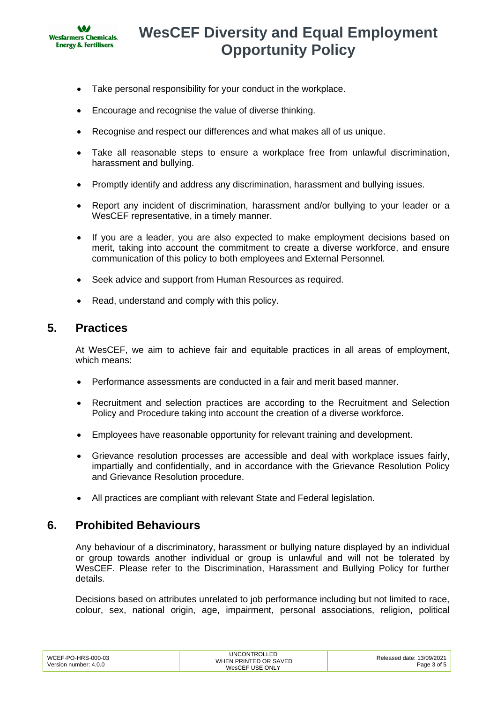

- Take personal responsibility for your conduct in the workplace.
- Encourage and recognise the value of diverse thinking.
- Recognise and respect our differences and what makes all of us unique.
- Take all reasonable steps to ensure a workplace free from unlawful discrimination, harassment and bullying.
- Promptly identify and address any discrimination, harassment and bullying issues.
- Report any incident of discrimination, harassment and/or bullying to your leader or a WesCEF representative, in a timely manner.
- If you are a leader, you are also expected to make employment decisions based on merit, taking into account the commitment to create a diverse workforce, and ensure communication of this policy to both employees and External Personnel.
- Seek advice and support from Human Resources as required.
- Read, understand and comply with this policy.

### **5. Practices**

At WesCEF, we aim to achieve fair and equitable practices in all areas of employment, which means:

- Performance assessments are conducted in a fair and merit based manner.
- Recruitment and selection practices are according to the Recruitment and Selection Policy and Procedure taking into account the creation of a diverse workforce.
- Employees have reasonable opportunity for relevant training and development.
- Grievance resolution processes are accessible and deal with workplace issues fairly, impartially and confidentially, and in accordance with the Grievance Resolution Policy and Grievance Resolution procedure.
- All practices are compliant with relevant State and Federal legislation.

### **6. Prohibited Behaviours**

Any behaviour of a discriminatory, harassment or bullying nature displayed by an individual or group towards another individual or group is unlawful and will not be tolerated by WesCEF. Please refer to the Discrimination, Harassment and Bullying Policy for further details.

Decisions based on attributes unrelated to job performance including but not limited to race, colour, sex, national origin, age, impairment, personal associations, religion, political

| WCEF-PO-HRS-000-03    | UNCONTROLLED          | Released date: 13/09/2021 |
|-----------------------|-----------------------|---------------------------|
|                       | WHEN PRINTED OR SAVED |                           |
| Version number: 4.0.0 | WesCEF USE ONLY       | Page 3 of 5 $\vert$       |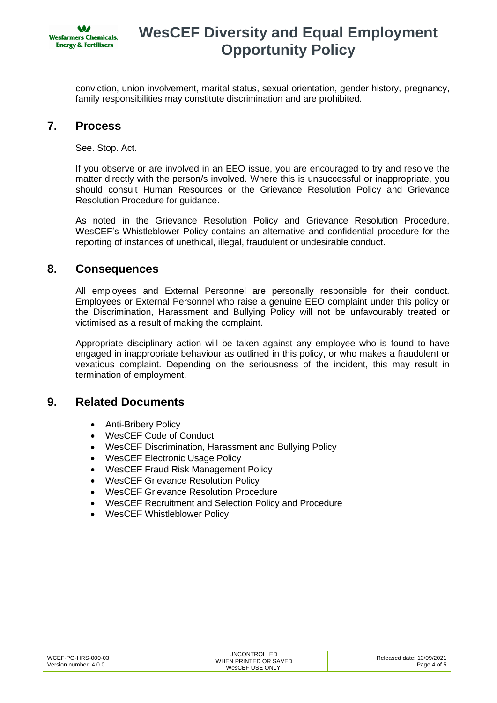

conviction, union involvement, marital status, sexual orientation, gender history, pregnancy, family responsibilities may constitute discrimination and are prohibited.

### **7. Process**

See. Stop. Act.

If you observe or are involved in an EEO issue, you are encouraged to try and resolve the matter directly with the person/s involved. Where this is unsuccessful or inappropriate, you should consult Human Resources or the Grievance Resolution Policy and Grievance Resolution Procedure for guidance.

As noted in the Grievance Resolution Policy and Grievance Resolution Procedure, WesCEF's Whistleblower Policy contains an alternative and confidential procedure for the reporting of instances of unethical, illegal, fraudulent or undesirable conduct.

#### **8. Consequences**

All employees and External Personnel are personally responsible for their conduct. Employees or External Personnel who raise a genuine EEO complaint under this policy or the Discrimination, Harassment and Bullying Policy will not be unfavourably treated or victimised as a result of making the complaint.

Appropriate disciplinary action will be taken against any employee who is found to have engaged in inappropriate behaviour as outlined in this policy, or who makes a fraudulent or vexatious complaint. Depending on the seriousness of the incident, this may result in termination of employment.

### **9. Related Documents**

- Anti-Bribery Policy
- WesCEF Code of Conduct
- WesCEF Discrimination, Harassment and Bullying Policy
- WesCEF Electronic Usage Policy
- WesCEF Fraud Risk Management Policy
- WesCEF Grievance Resolution Policy
- WesCEF Grievance Resolution Procedure
- WesCEF Recruitment and Selection Policy and Procedure
- WesCEF Whistleblower Policy

| WCEF-PO-HRS-000-03<br>Version number: 4.0.0 | UNCONTROLLED<br>WHEN PRINTED OR SAVED<br>WesCEF USE ONLY | Released date: 13/09/2021<br>Page 4 of F |
|---------------------------------------------|----------------------------------------------------------|------------------------------------------|
|---------------------------------------------|----------------------------------------------------------|------------------------------------------|